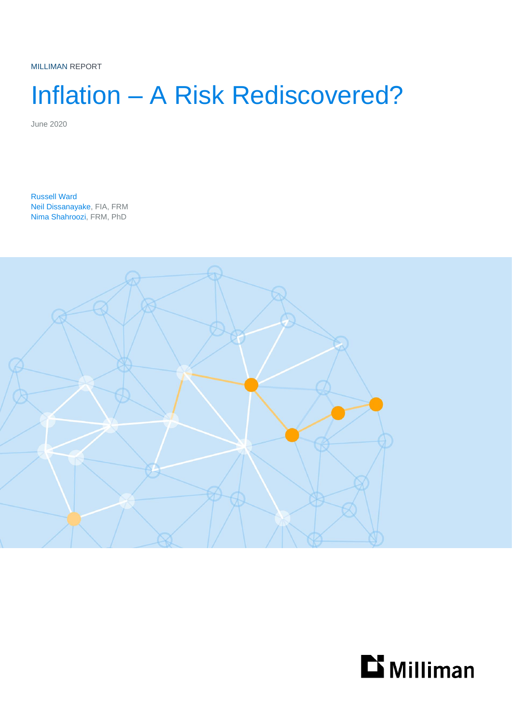MILLIMAN REPORT

# Inflation – A Risk Rediscovered?

June 2020

Russell Ward Neil Dissanayake, FIA, FRM Nima Shahroozi, FRM, PhD



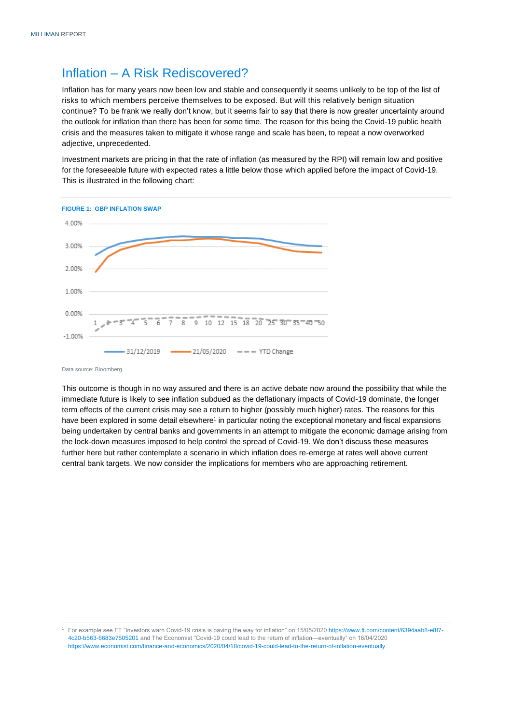### Inflation – A Risk Rediscovered?

Inflation has for many years now been low and stable and consequently it seems unlikely to be top of the list of risks to which members perceive themselves to be exposed. But will this relatively benign situation continue? To be frank we really don't know, but it seems fair to say that there is now greater uncertainty around the outlook for inflation than there has been for some time. The reason for this being the Covid-19 public health crisis and the measures taken to mitigate it whose range and scale has been, to repeat a now overworked adjective, unprecedented.

Investment markets are pricing in that the rate of inflation (as measured by the RPI) will remain low and positive for the foreseeable future with expected rates a little below those which applied before the impact of Covid-19. This is illustrated in the following chart:



Data source: Bloomberg

This outcome is though in no way assured and there is an active debate now around the possibility that while the immediate future is likely to see inflation subdued as the deflationary impacts of Covid-19 dominate, the longer term effects of the current crisis may see a return to higher (possibly much higher) rates. The reasons for this have been explored in some detail elsewhere<sup>1</sup> in particular noting the exceptional monetary and fiscal expansions being undertaken by central banks and governments in an attempt to mitigate the economic damage arising from the lock-down measures imposed to help control the spread of Covid-19. We don't discuss these measures further here but rather contemplate a scenario in which inflation does re-emerge at rates well above current central bank targets. We now consider the implications for members who are approaching retirement.

<sup>1</sup> For example see FT "Investors warn Covid-19 crisis is paving the way for inflation" on 15/05/202[0 https://www.ft.com/content/6394aab8-e8f7-](https://www.ft.com/content/6394aab8-e8f7-4c20-b563-6683e7505201) [4c20-b563-6683e7505201](https://www.ft.com/content/6394aab8-e8f7-4c20-b563-6683e7505201) and The Economist "Covid-19 could lead to the return of inflation—eventually" on 18/04/2020 <https://www.economist.com/finance-and-economics/2020/04/18/covid-19-could-lead-to-the-return-of-inflation-eventually>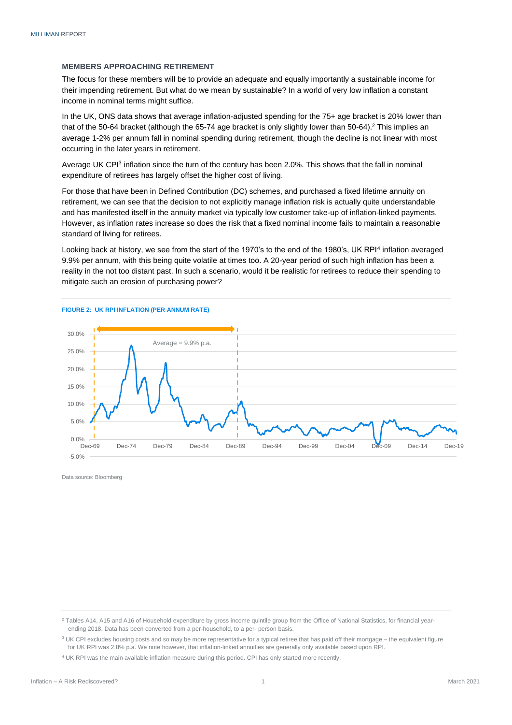#### **MEMBERS APPROACHING RETIREMENT**

The focus for these members will be to provide an adequate and equally importantly a sustainable income for their impending retirement. But what do we mean by sustainable? In a world of very low inflation a constant income in nominal terms might suffice.

In the UK, ONS data shows that average inflation-adjusted spending for the 75+ age bracket is 20% lower than that of the 50-64 bracket (although the 65-74 age bracket is only slightly lower than 50-64).<sup>2</sup> This implies an average 1-2% per annum fall in nominal spending during retirement, though the decline is not linear with most occurring in the later years in retirement.

Average UK CPI<sup>3</sup> inflation since the turn of the century has been 2.0%. This shows that the fall in nominal expenditure of retirees has largely offset the higher cost of living.

For those that have been in Defined Contribution (DC) schemes, and purchased a fixed lifetime annuity on retirement, we can see that the decision to not explicitly manage inflation risk is actually quite understandable and has manifested itself in the annuity market via typically low customer take-up of inflation-linked payments. However, as inflation rates increase so does the risk that a fixed nominal income fails to maintain a reasonable standard of living for retirees.

Looking back at history, we see from the start of the 1970's to the end of the 1980's, UK RPI<sup>4</sup> inflation averaged 9.9% per annum, with this being quite volatile at times too. A 20-year period of such high inflation has been a reality in the not too distant past. In such a scenario, would it be realistic for retirees to reduce their spending to mitigate such an erosion of purchasing power?



Data source: Bloomberg

<sup>2</sup> Tables A14, A15 and A16 of Household expenditure by gross income quintile group from the Office of National Statistics, for financial yearending 2018. Data has been converted from a per-household, to a per- person basis.

<sup>3</sup> UK CPI excludes housing costs and so may be more representative for a typical retiree that has paid off their mortgage – the equivalent figure for UK RPI was 2.8% p.a. We note however, that inflation-linked annuities are generally only available based upon RPI.

<sup>4</sup> UK RPI was the main available inflation measure during this period. CPI has only started more recently.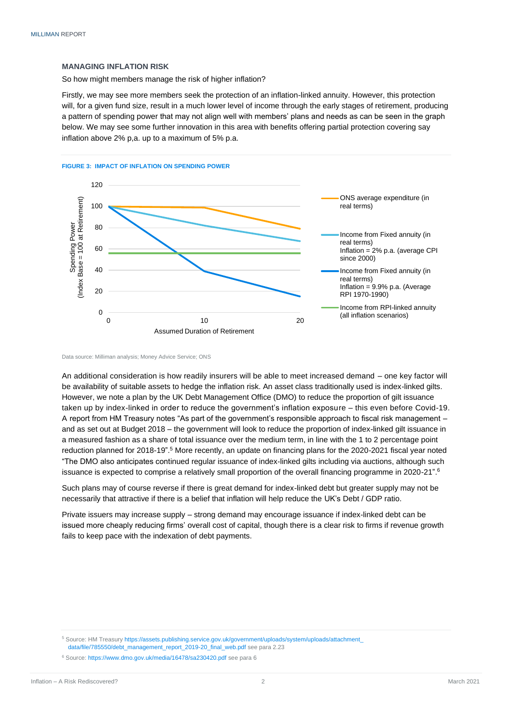#### **MANAGING INFLATION RISK**

So how might members manage the risk of higher inflation?

Firstly, we may see more members seek the protection of an inflation-linked annuity. However, this protection will, for a given fund size, result in a much lower level of income through the early stages of retirement, producing a pattern of spending power that may not align well with members' plans and needs as can be seen in the graph below. We may see some further innovation in this area with benefits offering partial protection covering say inflation above 2% p,a. up to a maximum of 5% p.a.



Data source: Milliman analysis; Money Advice Service; ONS

An additional consideration is how readily insurers will be able to meet increased demand – one key factor will be availability of suitable assets to hedge the inflation risk. An asset class traditionally used is index-linked gilts. However, we note a plan by the UK Debt Management Office (DMO) to reduce the proportion of gilt issuance taken up by index-linked in order to reduce the government's inflation exposure – this even before Covid-19. A report from HM Treasury notes "As part of the government's responsible approach to fiscal risk management – and as set out at Budget 2018 – the government will look to reduce the proportion of index-linked gilt issuance in a measured fashion as a share of total issuance over the medium term, in line with the 1 to 2 percentage point reduction planned for 2018-19".<sup>5</sup> More recently, an update on financing plans for the 2020-2021 fiscal year noted "The DMO also anticipates continued regular issuance of index-linked gilts including via auctions, although such issuance is expected to comprise a relatively small proportion of the overall financing programme in 2020-21".<sup>6</sup>

Such plans may of course reverse if there is great demand for index-linked debt but greater supply may not be necessarily that attractive if there is a belief that inflation will help reduce the UK's Debt / GDP ratio.

Private issuers may increase supply – strong demand may encourage issuance if index-linked debt can be issued more cheaply reducing firms' overall cost of capital, though there is a clear risk to firms if revenue growth fails to keep pace with the indexation of debt payments.

<sup>5</sup> Source: HM Treasury [https://assets.publishing.service.gov.uk/government/uploads/system/uploads/attachment\\_](https://assets.publishing.service.gov.uk/government/uploads/system/uploads/attachment_data/file/785550/debt_management_report_2019-20_final_web.pdf) [data/file/785550/debt\\_management\\_report\\_2019-20\\_final\\_web.pdf](https://assets.publishing.service.gov.uk/government/uploads/system/uploads/attachment_data/file/785550/debt_management_report_2019-20_final_web.pdf) see para 2.23

<sup>6</sup> Source: https://www.dmo.gov.uk/media/16478/sa230420.pdf see para 6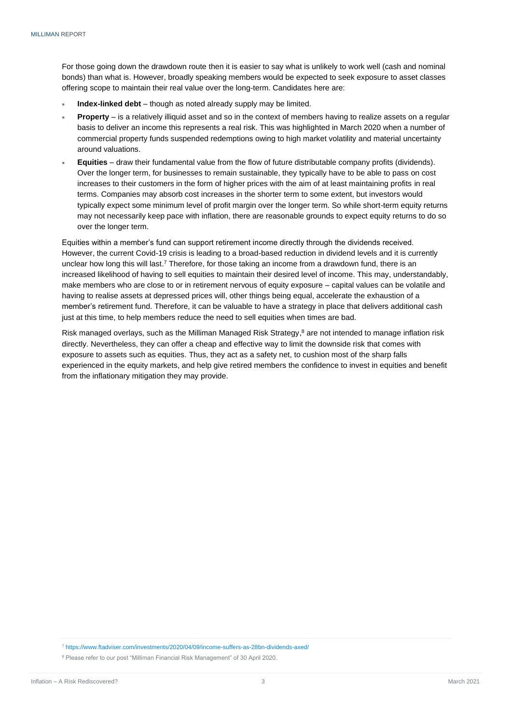For those going down the drawdown route then it is easier to say what is unlikely to work well (cash and nominal bonds) than what is. However, broadly speaking members would be expected to seek exposure to asset classes offering scope to maintain their real value over the long-term. Candidates here are:

- **Index-linked debt** though as noted already supply may be limited.
- **Property** is a relatively illiquid asset and so in the context of members having to realize assets on a regular basis to deliver an income this represents a real risk. This was highlighted in March 2020 when a number of commercial property funds suspended redemptions owing to high market volatility and material uncertainty around valuations.
- **Equities** draw their fundamental value from the flow of future distributable company profits (dividends). Over the longer term, for businesses to remain sustainable, they typically have to be able to pass on cost increases to their customers in the form of higher prices with the aim of at least maintaining profits in real terms. Companies may absorb cost increases in the shorter term to some extent, but investors would typically expect some minimum level of profit margin over the longer term. So while short-term equity returns may not necessarily keep pace with inflation, there are reasonable grounds to expect equity returns to do so over the longer term.

Equities within a member's fund can support retirement income directly through the dividends received. However, the current Covid-19 crisis is leading to a broad-based reduction in dividend levels and it is currently unclear how long this will last.<sup>7</sup> Therefore, for those taking an income from a drawdown fund, there is an increased likelihood of having to sell equities to maintain their desired level of income. This may, understandably, make members who are close to or in retirement nervous of equity exposure – capital values can be volatile and having to realise assets at depressed prices will, other things being equal, accelerate the exhaustion of a member's retirement fund. Therefore, it can be valuable to have a strategy in place that delivers additional cash just at this time, to help members reduce the need to sell equities when times are bad.

Risk managed overlays, such as the Milliman Managed Risk Strategy,<sup>8</sup> are not intended to manage inflation risk directly. Nevertheless, they can offer a cheap and effective way to limit the downside risk that comes with exposure to assets such as equities. Thus, they act as a safety net, to cushion most of the sharp falls experienced in the equity markets, and help give retired members the confidence to invest in equities and benefit from the inflationary mitigation they may provide.

<sup>7</sup> https://www.ftadviser.com/investments/2020/04/09/income-suffers-as-28bn-dividends-axed/

<sup>8</sup> Please refer to our post "Milliman Financial Risk Management" of 30 April 2020.